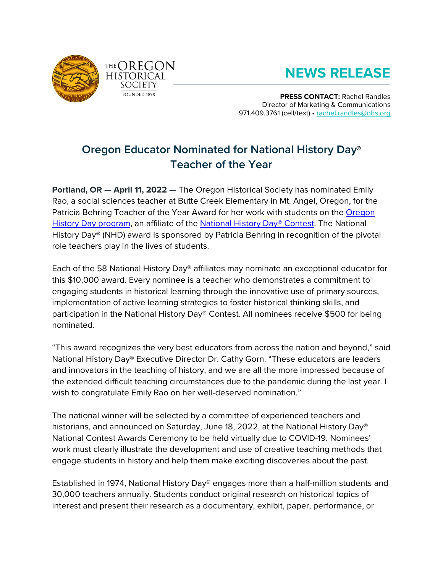



## **NEWS RELEASE**

**PRESS CONTACT:** Rachel Randles Director of Marketing & Communications 971.409.3761 (cell/text) • [rachel.randles@ohs.org](mailto:rachel.randles@ohs.org)

## **Oregon Educator Nominated for National History Day® Teacher of the Year**

**Portland, OR — April 11, 2022 —** The Oregon Historical Society has nominated Emily Rao, a social sciences teacher at Butte Creek Elementary in Mt. Angel, Oregon, for the Patricia Behring Teacher of the Year Award for her work with students on the [Oregon](https://t.e2ma.net/click/rfkpwh/n40jhc/jd12hob)  [History Day program,](https://t.e2ma.net/click/rfkpwh/n40jhc/jd12hob) an affiliate of the [National History Day® Contest.](https://t.e2ma.net/click/rfkpwh/n40jhc/z512hob) The National History Day® (NHD) award is sponsored by Patricia Behring in recognition of the pivotal role teachers play in the lives of students.

Each of the 58 National History Day® affiliates may nominate an exceptional educator for this \$10,000 award. Every nominee is a teacher who demonstrates a commitment to engaging students in historical learning through the innovative use of primary sources, implementation of active learning strategies to foster historical thinking skills, and participation in the National History Day® Contest. All nominees receive \$500 for being nominated.

"This award recognizes the very best educators from across the nation and beyond," said National History Day® Executive Director Dr. Cathy Gorn. "These educators are leaders and innovators in the teaching of history, and we are all the more impressed because of the extended difficult teaching circumstances due to the pandemic during the last year. I wish to congratulate Emily Rao on her well-deserved nomination."

The national winner will be selected by a committee of experienced teachers and historians, and announced on Saturday, June 18, 2022, at the National History Day® National Contest Awards Ceremony to be held virtually due to COVID-19. Nominees' work must clearly illustrate the development and use of creative teaching methods that engage students in history and help them make exciting discoveries about the past.

Established in 1974, National History Day® engages more than a half-million students and 30,000 teachers annually. Students conduct original research on historical topics of interest and present their research as a documentary, exhibit, paper, performance, or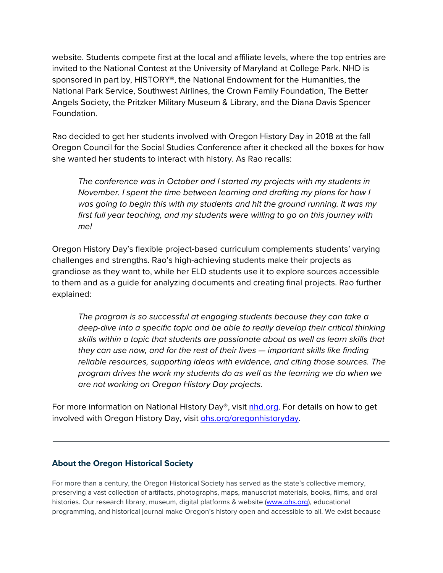website. Students compete first at the local and affiliate levels, where the top entries are invited to the National Contest at the University of Maryland at College Park. NHD is sponsored in part by, HISTORY®, the National Endowment for the Humanities, the National Park Service, Southwest Airlines, the Crown Family Foundation, The Better Angels Society, the Pritzker Military Museum & Library, and the Diana Davis Spencer Foundation.

Rao decided to get her students involved with Oregon History Day in 2018 at the fall Oregon Council for the Social Studies Conference after it checked all the boxes for how she wanted her students to interact with history. As Rao recalls:

*The conference was in October and I started my projects with my students in November. I spent the time between learning and drafting my plans for how I was going to begin this with my students and hit the ground running. It was my first full year teaching, and my students were willing to go on this journey with me!*

Oregon History Day's flexible project-based curriculum complements students' varying challenges and strengths. Rao's high-achieving students make their projects as grandiose as they want to, while her ELD students use it to explore sources accessible to them and as a guide for analyzing documents and creating final projects. Rao further explained:

*The program is so successful at engaging students because they can take a deep-dive into a specific topic and be able to really develop their critical thinking skills within a topic that students are passionate about as well as learn skills that they can use now, and for the rest of their lives — important skills like finding reliable resources, supporting ideas with evidence, and citing those sources. The program drives the work my students do as well as the learning we do when we are not working on Oregon History Day projects.*

For more information on National History Day®, visit [nhd.org.](https://www.nhd.org/) For details on how to get involved with Oregon History Day, visit [ohs.org/oregonhistoryday.](https://www.ohs.org/oregonhistoryday.cfm)

## **About the Oregon Historical Society**

For more than a century, the Oregon Historical Society has served as the state's collective memory, preserving a vast collection of artifacts, photographs, maps, manuscript materials, books, films, and oral histories. Our research library, museum, digital platforms & website [\(www.ohs.org\)](file://ohsfsdc1/shared/Development%20and%20Membership/Marketing/Press%20Releases/2015/www.ohs.org), educational programming, and historical journal make Oregon's history open and accessible to all. We exist because